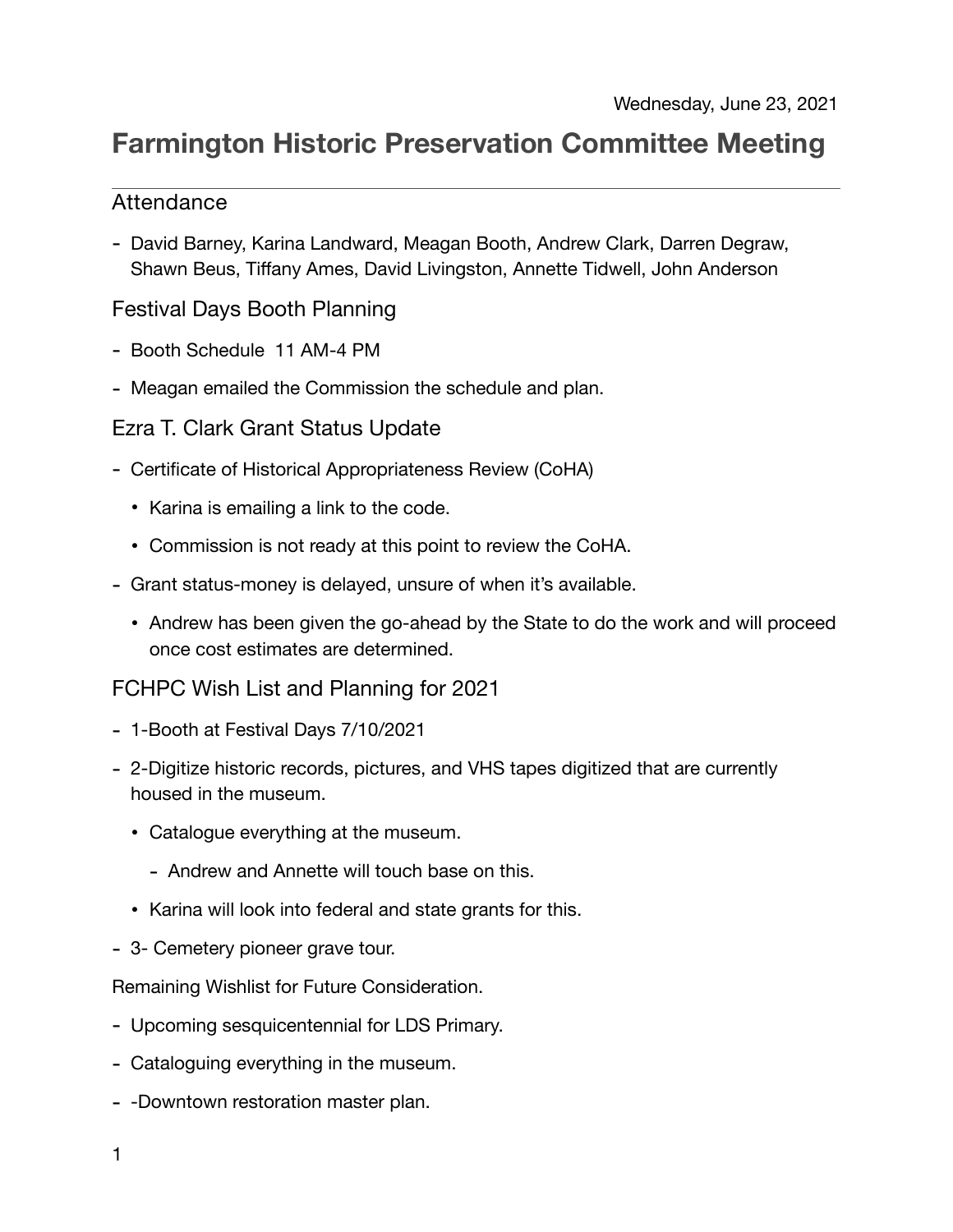# **Farmington Historic Preservation Committee Meeting**

## Attendance

- David Barney, Karina Landward, Meagan Booth, Andrew Clark, Darren Degraw, Shawn Beus, Tiffany Ames, David Livingston, Annette Tidwell, John Anderson

## Festival Days Booth Planning

- Booth Schedule 11 AM-4 PM
- Meagan emailed the Commission the schedule and plan.

# Ezra T. Clark Grant Status Update

- Certificate of Historical Appropriateness Review (CoHA)
	- Karina is emailing a link to the code.
	- Commission is not ready at this point to review the CoHA.
- Grant status-money is delayed, unsure of when it's available.
	- Andrew has been given the go-ahead by the State to do the work and will proceed once cost estimates are determined.

FCHPC Wish List and Planning for 2021

- 1-Booth at Festival Days 7/10/2021
- 2-Digitize historic records, pictures, and VHS tapes digitized that are currently housed in the museum.
	- Catalogue everything at the museum.
		- Andrew and Annette will touch base on this.
	- Karina will look into federal and state grants for this.
- 3- Cemetery pioneer grave tour.

Remaining Wishlist for Future Consideration.

- Upcoming sesquicentennial for LDS Primary.
- Cataloguing everything in the museum.
- -Downtown restoration master plan.